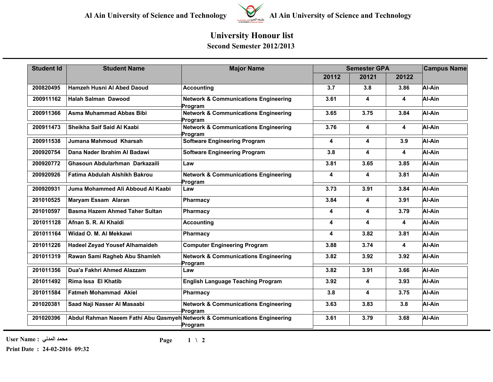

## **University Honour list**

**Second Semester 2012/2013**

| <b>Student Id</b> | <b>Student Name</b>                   | <b>Major Name</b>                                                                    | <b>Semester GPA</b> |       |       | <b>Campus Name</b> |
|-------------------|---------------------------------------|--------------------------------------------------------------------------------------|---------------------|-------|-------|--------------------|
|                   |                                       |                                                                                      | 20112               | 20121 | 20122 |                    |
| 200820495         | Hamzeh Husni Al Abed Daoud            | <b>Accounting</b>                                                                    | 3.7                 | 3.8   | 3.86  | Al-Ain             |
| 200911162         | <b>Halah Salman Dawood</b>            | <b>Network &amp; Communications Engineering</b><br>Program                           | 3.61                | 4     | 4     | Al-Ain             |
| 200911366         | Asma Muhammad Abbas Bibi              | <b>Network &amp; Communications Engineering</b><br>Program                           | 3.65                | 3.75  | 3.84  | Al-Ain             |
| 200911473         | Sheikha Saif Said Al Kaabi            | <b>Network &amp; Communications Engineering</b><br>Program                           | 3.76                | 4     | 4     | Al-Ain             |
| 200911538         | Jumana Mahmoud Kharsah                | <b>Software Engineering Program</b>                                                  | 4                   | 4     | 3.9   | Al-Ain             |
| 200920754         | Dana Nader Ibrahim Al Badawi          | <b>Software Engineering Program</b>                                                  | 3.8                 | 4     | 4     | Al-Ain             |
| 200920772         | Ghasoun Abdularhman Darkazaili        | Law                                                                                  | 3.81                | 3.65  | 3.85  | Al-Ain             |
| 200920926         | Fatima Abdulah Alshikh Bakrou         | <b>Network &amp; Communications Engineering</b><br>Program                           | 4                   | 4     | 3.81  | Al-Ain             |
| 200920931         | Juma Mohammed Ali Abboud Al Kaabi     | Law                                                                                  | 3.73                | 3.91  | 3.84  | Al-Ain             |
| 201010525         | <b>Maryam Essam Alaran</b>            | Pharmacy                                                                             | 3.84                | 4     | 3.91  | Al-Ain             |
| 201010597         | <b>Basma Hazem Ahmed Taher Sultan</b> | Pharmacy                                                                             | 4                   | 4     | 3.79  | Al-Ain             |
| 201011128         | Afnan S. R. Al Khaldi                 | <b>Accounting</b>                                                                    | 4                   | 4     | 4     | Al-Ain             |
| 201011164         | Widad O. M. Al Mekkawi                | Pharmacy                                                                             | 4                   | 3.82  | 3.81  | Al-Ain             |
| 201011226         | <b>Hadeel Zeyad Yousef Alhamaideh</b> | <b>Computer Engineering Program</b>                                                  | 3.88                | 3.74  | 4     | Al-Ain             |
| 201011319         | Rawan Sami Ragheb Abu Shamleh         | <b>Network &amp; Communications Engineering</b><br>Program                           | 3.82                | 3.92  | 3.92  | Al-Ain             |
| 201011356         | Dua'a Fakhri Ahmed Alazzam            | Law                                                                                  | 3.82                | 3.91  | 3.66  | Al-Ain             |
| 201011492         | Rima Issa El Khatib                   | <b>English Language Teaching Program</b>                                             | 3.92                | 4     | 3.93  | Al-Ain             |
| 201011584         | <b>Fatmeh Mohammad Akiel</b>          | <b>Pharmacy</b>                                                                      | 3.8                 | 4     | 3.75  | Al-Ain             |
| 201020381         | Saad Naji Nasser Al Masaabi           | <b>Network &amp; Communications Engineering</b><br>Program                           | 3.63                | 3.83  | 3.8   | Al-Ain             |
| 201020396         |                                       | Abdul Rahman Naeem Fathi Abu Qasmyeh Network & Communications Engineering<br>Program | 3.61                | 3.79  | 3.68  | Al-Ain             |